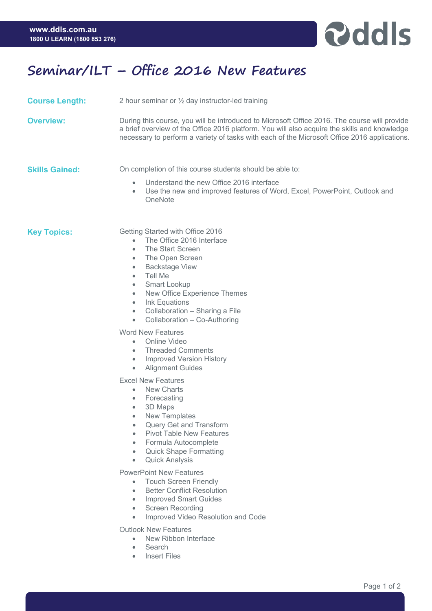

## **Seminar/ILT – Office 2016 New Features**

**Course Length:** 2 hour seminar or <sup>1/2</sup> day instructor-led training

**Overview:** During this course, you will be introduced to Microsoft Office 2016. The course will provide a brief overview of the Office 2016 platform. You will also acquire the skills and knowledge necessary to perform a variety of tasks with each of the Microsoft Office 2016 applications.

**Skills Gained:** On completion of this course students should be able to:

- Understand the new Office 2016 interface
- Use the new and improved features of Word, Excel, PowerPoint, Outlook and **OneNote**

**Key Topics:** Getting Started with Office 2016

- The Office 2016 Interface
- The Start Screen
- The Open Screen
- Backstage View
- Tell Me
- Smart Lookup
- New Office Experience Themes
- Ink Equations
- Collaboration Sharing a File
- Collaboration Co-Authoring

Word New Features

- Online Video
- Threaded Comments
- Improved Version History
- Alignment Guides

Excel New Features

- New Charts
- Forecasting
- 3D Maps
- New Templates
- Query Get and Transform
- Pivot Table New Features
- Formula Autocomplete
- Quick Shape Formatting
- Quick Analysis

PowerPoint New Features

- Touch Screen Friendly
- Better Conflict Resolution
- Improved Smart Guides
- Screen Recording
- Improved Video Resolution and Code

Outlook New Features

- New Ribbon Interface
- **Search**
- **Insert Files**